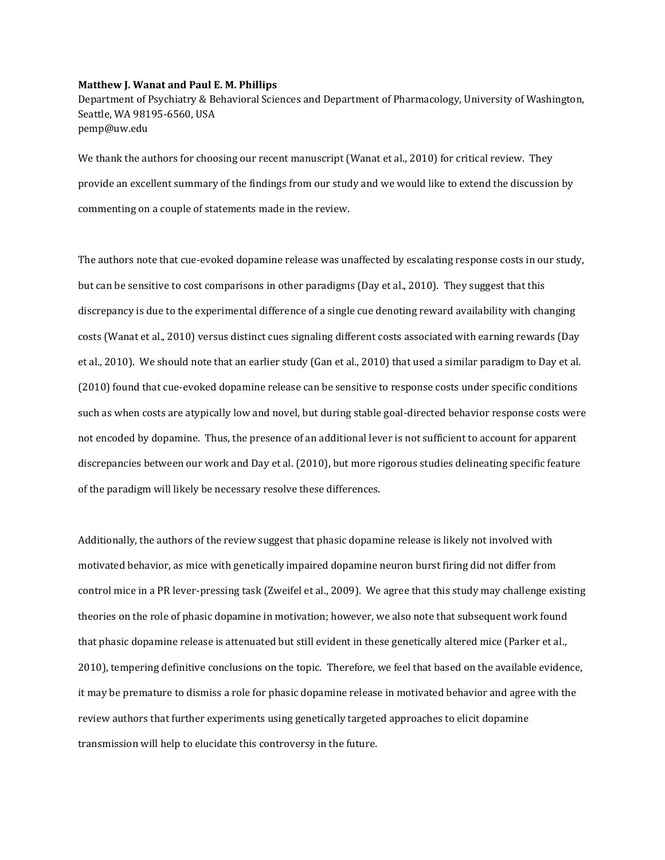## **Matthew J. Wanat and Paul E. M. Phillips**

Department of Psychiatry & Behavioral Sciences and Department of Pharmacology, University of Washington, Seattle, WA 98195-6560, USA pemp@uw.edu

We thank the authors for choosing our recent manuscript (Wanat et al., 2010) for critical review. They provide an excellent summary of the findings from our study and we would like to extend the discussion by commenting on a couple of statements made in the review.

The authors note that cue-evoked dopamine release was unaffected by escalating response costs in our study, but can be sensitive to cost comparisons in other paradigms (Day et al., 2010). They suggest that this discrepancy is due to the experimental difference of a single cue denoting reward availability with changing costs (Wanat et al., 2010) versus distinct cues signaling different costs associated with earning rewards (Day et al., 2010). We should note that an earlier study (Gan et al., 2010) that used a similar paradigm to Day et al. (2010) found that cue-evoked dopamine release can be sensitive to response costs under specific conditions such as when costs are atypically low and novel, but during stable goal-directed behavior response costs were not encoded by dopamine. Thus, the presence of an additional lever is not sufficient to account for apparent discrepancies between our work and Day et al. (2010), but more rigorous studies delineating specific feature of the paradigm will likely be necessary resolve these differences.

Additionally, the authors of the review suggest that phasic dopamine release is likely not involved with motivated behavior, as mice with genetically impaired dopamine neuron burst firing did not differ from control mice in a PR lever-pressing task (Zweifel et al., 2009). We agree that this study may challenge existing theories on the role of phasic dopamine in motivation; however, we also note that subsequent work found that phasic dopamine release is attenuated but still evident in these genetically altered mice (Parker et al., 2010), tempering definitive conclusions on the topic. Therefore, we feel that based on the available evidence, it may be premature to dismiss a role for phasic dopamine release in motivated behavior and agree with the review authors that further experiments using genetically targeted approaches to elicit dopamine transmission will help to elucidate this controversy in the future.